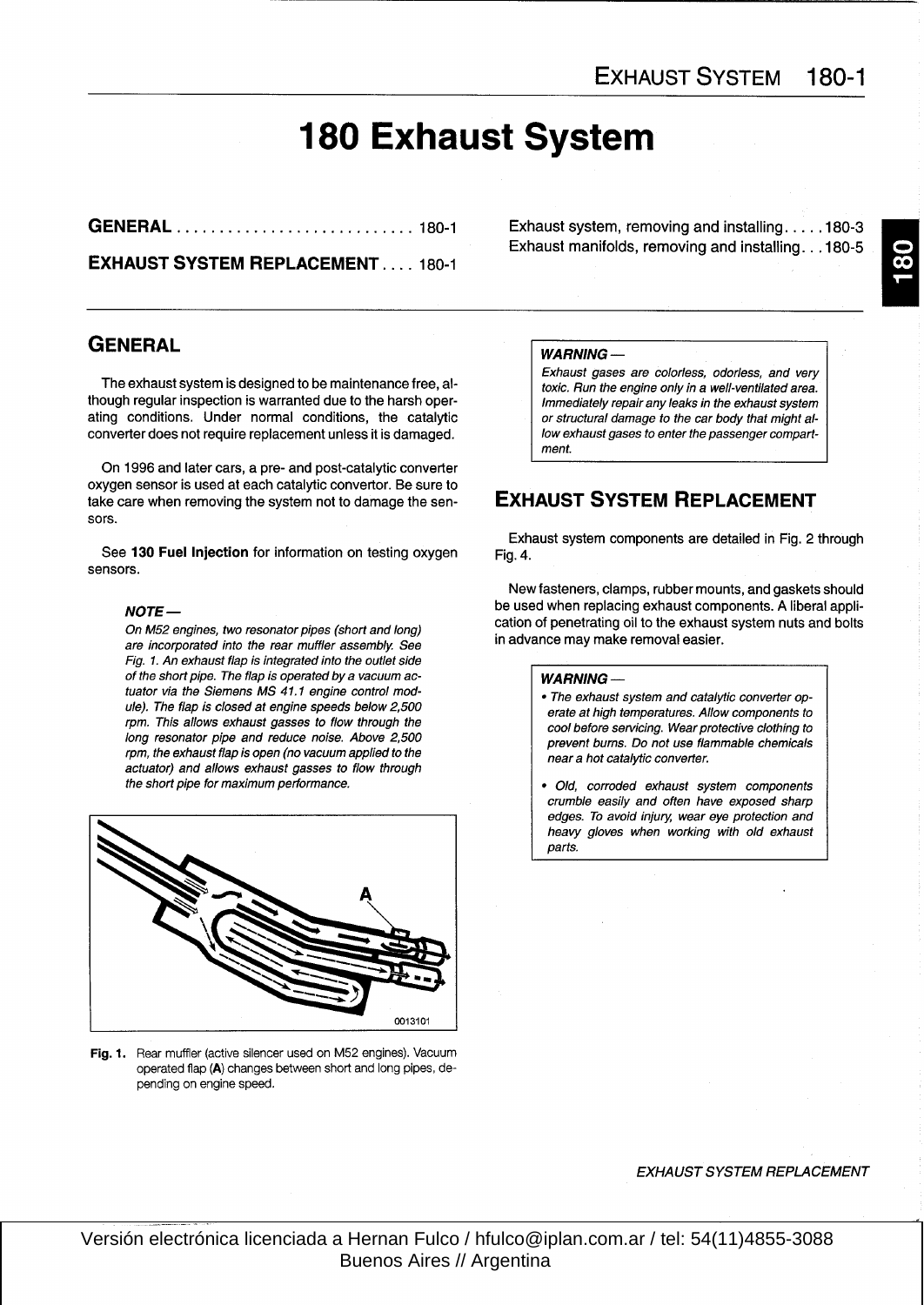# 180 Exhaust System

GENERAL . . . . . . . . . . . . . . . . . . . . . . . . . . . . 180-1 Exhaust system, removing and installing . . . . .180-3

EXHAUST SYSTEM REPLACEMENT.... 180-1

## **GENERAL**

The exhaust system is designed to be maintenance free, although regular inspection is warranted due to the harsh operating conditions. Under normal conditions, the catalytic converter does not require replacement unless it is damaged.

On 1996 and later cars, a pre- and post-catalytic converter oxygen sensor is used at each catalytic convertor. Be sure to take care when removing the system not to damage the sen- **EXHAUST SYSTEM REPLACEMENT** sors.

See 130 Fuel Injection for information on testing oxygen sensors.

## NOTE-

On M52 engines, two resonator pípes (short and long) are incorporated into the rear muffler assembly. See Fíg. <sup>1</sup> . An exhaust flap is integrated into the outlet side of the short pipe. The flap is operated by a vacuum actuator via the Siemens MS 41.1 engine control module). The flap is closed at engine speeds below 2,500 rpm. This allows exhaust gasses to flow through the long resonator pipe and reduce noise. Above 2,500 rpm, the exhaust flap is open (no vacuum applied to the actuator) and allows exhaust gasses to flow through the short pipe for maximum performance.



Fig. 1. Rear muffler (active silencer used on M52 engines). Vacuum operated flap (A) changes between short and long pipes, depending on engine speed.

Exhaust manifolds, removing and installing . . .180-5

### WARNING-

Exhaust gases are colorless, odorless, and very toxic. Run the engine only in a well-ventilated area. Immediately repair any leaks in the exhaust system or structural damage to the car body that might allow exhaust gases to enter the passenger compartment.

Exhaust system components are detailed in Fig. 2 through Fig. 4.

Newfasteners, clamps, rubber mounts, and gaskets should be used when replacing exhaust components . A liberal application of penetrating oil to the exhaust system nuts and bolts in advance may make removal easier.

## WARNING-

- . The exhaust system and catalytic converter operate at high temperatures . Allow components to cool before servicing. Wear protective clothing to prevent bums. Do not use flammable chemicals neara hot catalytic converter.
- " Old, corroded exhaust system components crumble easíly and often have exposed sharp edges. To avoid injury, wear eye protection and heavy gloves when working with old exhaust parts.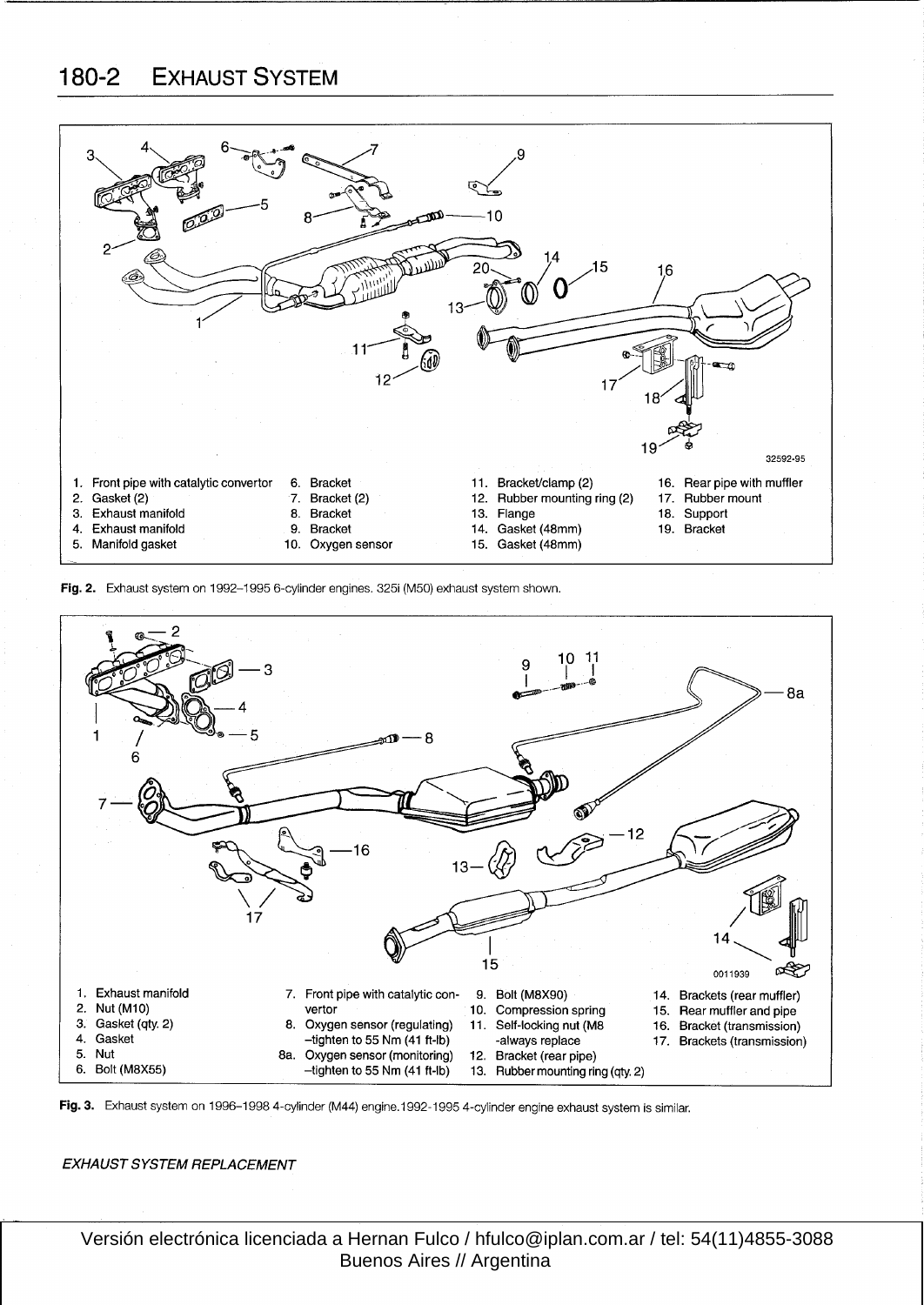## 180-2 EXHAUST SYSTEM



Fig. 2. Exhaust system on 1992-1995 6-cylinder engines. 325i (M50) exhaust system shown.





## EXHAUST SYSTEM REPLACEMENT

 Versión electrónica licenciada a Hernan Fulco / hfulco@iplan.com.ar / tel: 54(11)4855-3088 Buenos Aires // Argentina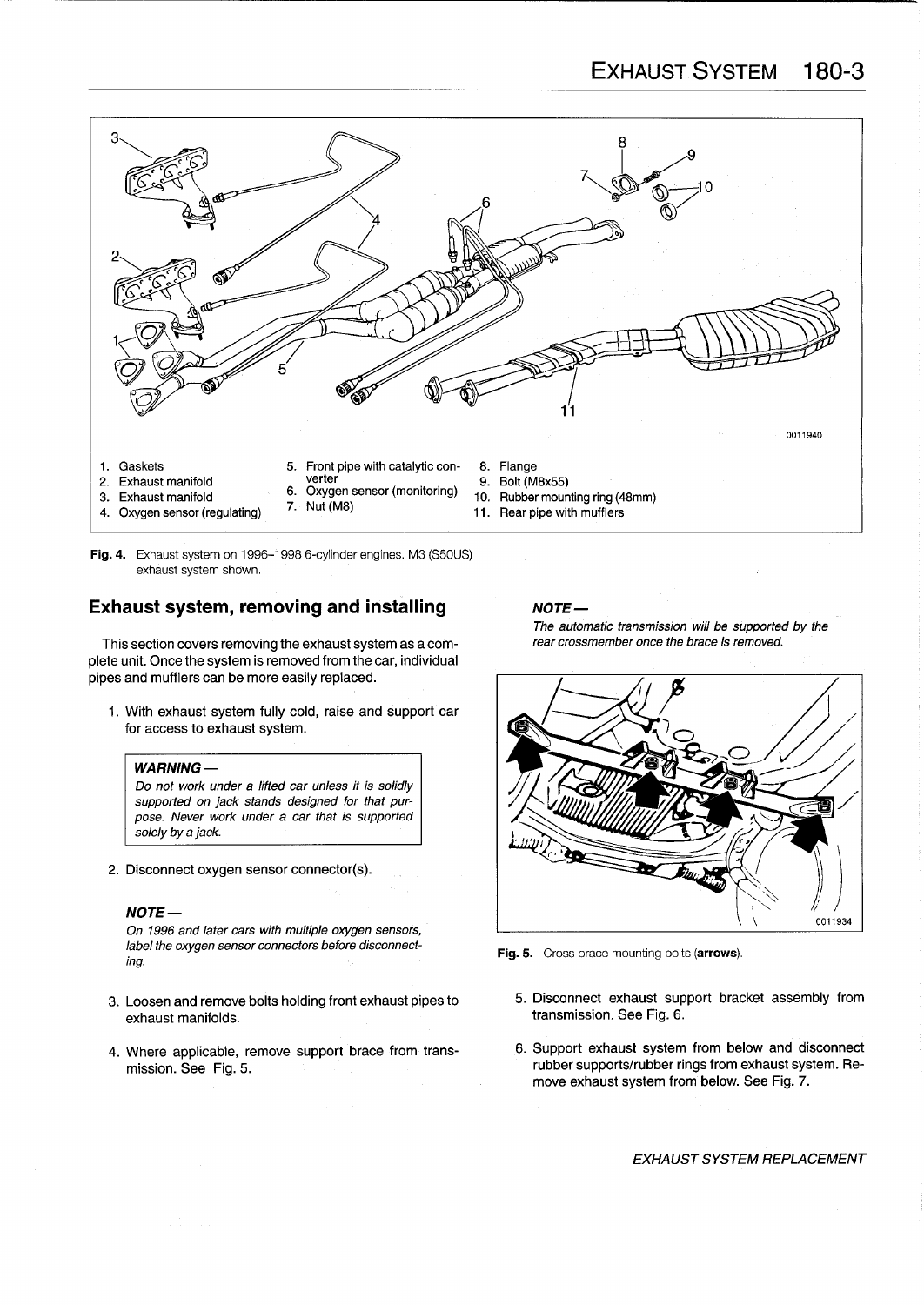

Fig. 4. Exhaust system on 1996-1998 6-cylinder engines. M3 (S50US) exhaust system shown.

## Exhaust system, removing and installing  $NOTE-$

This section covers removing the exhaust system as a complete unit. Once the system is removed from the car, individual pipes and mufflers can be more easily replaced.

1 . With exhaust system fully cold, raise and support car for access to exhaust system.

## **WARNING**

Do not work under a lifted car unless it is solidly supported on jack stands designed for that purpose. Never work under a car that is supported solely by a jack.

2. Disconnect oxygen sensor connector(s) .

## NOTE-

On 1996 and later cars with multiple oxygen sensors, label the oxygen sensor connectors before disconnecting.

- 3. Loosen and remove bolts holding front exhaust pipes to
- 4. Where applicable, remove support brace from transmission . See Fig. 5.

The automatic transmission will be supported by the rear crossmember once the brace is removed.



Fig. 5. Cross brace mounting bolts (arrows).

- transmission. See Fig. 6. 5. Disconnect exhaust support bracket assembly from
- 6. Support exhaust system from below and dísconnect rubber supports/rubber rings from exhaust system. Remove exhaust system from below. See Fig. 7.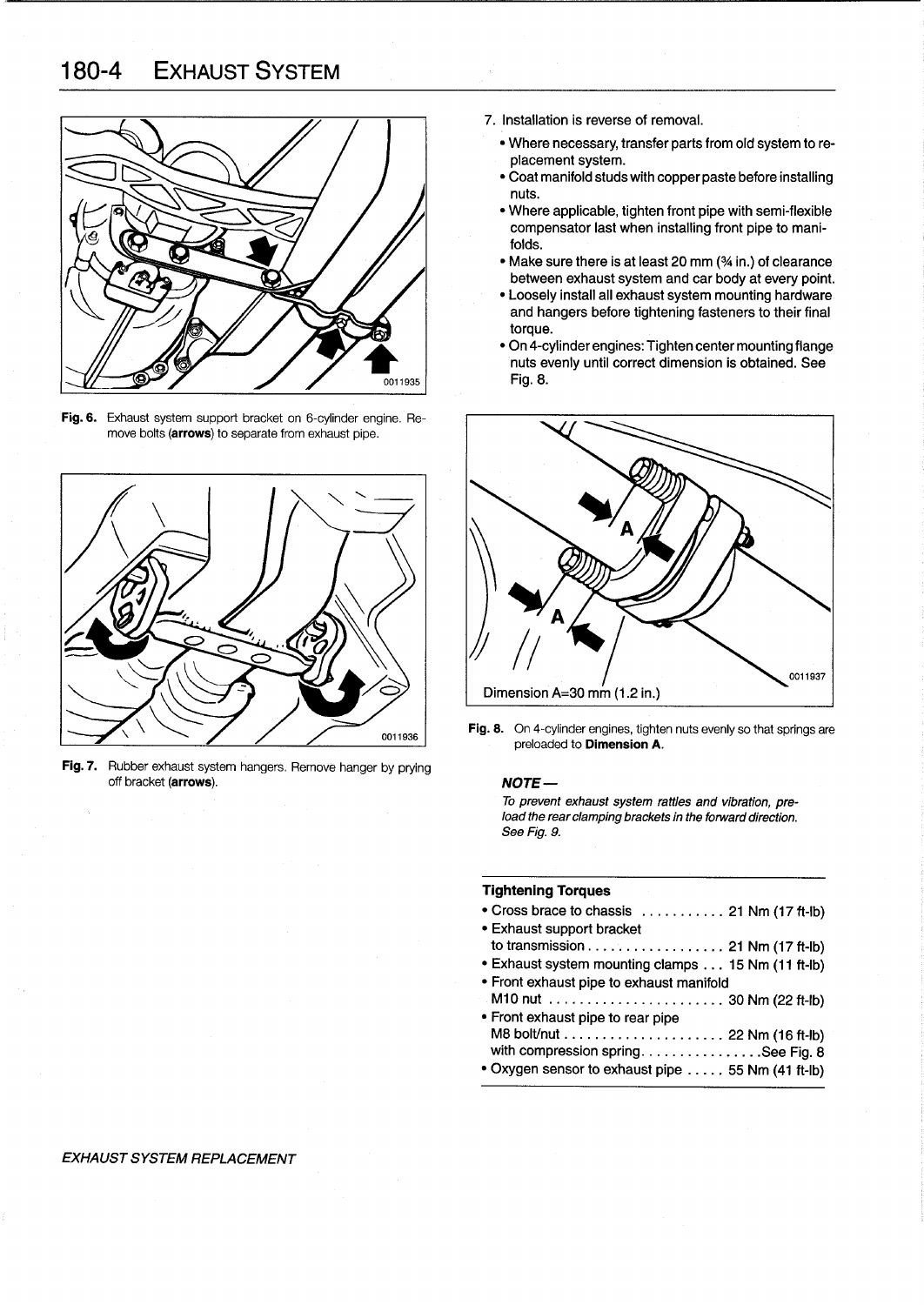## 180-4 EXHAUST SYSTEM



Fig. 6. Exhaust system support bracket on 6-cylinder engine. Remove bolts (arrows) to separate from exhaust pipe.



Fig. 7. Rubber exhaust system hangers. Remove hanger by prying off bracket (arrows).

- 7. Installation is reverse of removal .
	- " Where necessary, transfer parts from old system to replacement system.
	- " Coat manifold studswith copper paste before installing nuts.
	- " Where applicable, tighten front pípe with semi-flexible compensator last when installing front pipe to manifolds
	- Make sure there is at least 20 mm (% in.) of clearance between exhaust system and car body at every point.
	- " Loosely install all exhaust system mounting hardware and hangers before tightening fasteners to their final torque.
	- " On 4-cylinder engines : Tighten center mounting flange nuts evenly until correct dimension is obtained . See Fig. 8.



Fig. 8. On 4-cylinder engines, tighten nuts evenly so that springs are preloaded to Dimension A.

### NOTE-

To prevent exhaust system rattles and vibration, preload the rear clamping brackets in the forward direction. See Fig. 9.

### Tightening Torques

- Cross brace to chassis ........... 21 Nm (17 ft-lb)
- **Exhaust support bracket** to transmission . . . . . . . . . . . . . . . . , . <sup>21</sup> Nm (17 ft-Ib) • Exhaust system mounting clamps . . . 15 Nm (11 ft-lb)
- " Front exhaust pipe to exhaust manifold
- M10 nut . . . . . . . . . . . . . . . . . . . . . . . <sup>30</sup> Nm (22 ft-Ib)
- " Front exhaust pipe to rear pipe M8 bolt/nut . . . . . . . . . . . . . . . . . . . . . <sup>22</sup> Nm (16 ft-Ib) with compression spring . . . . . . . . . . . . . . . See Fig. 8 " Oxygen sensor to exhaust pipe . . . . . <sup>55</sup> Nm (41 ft-Ib)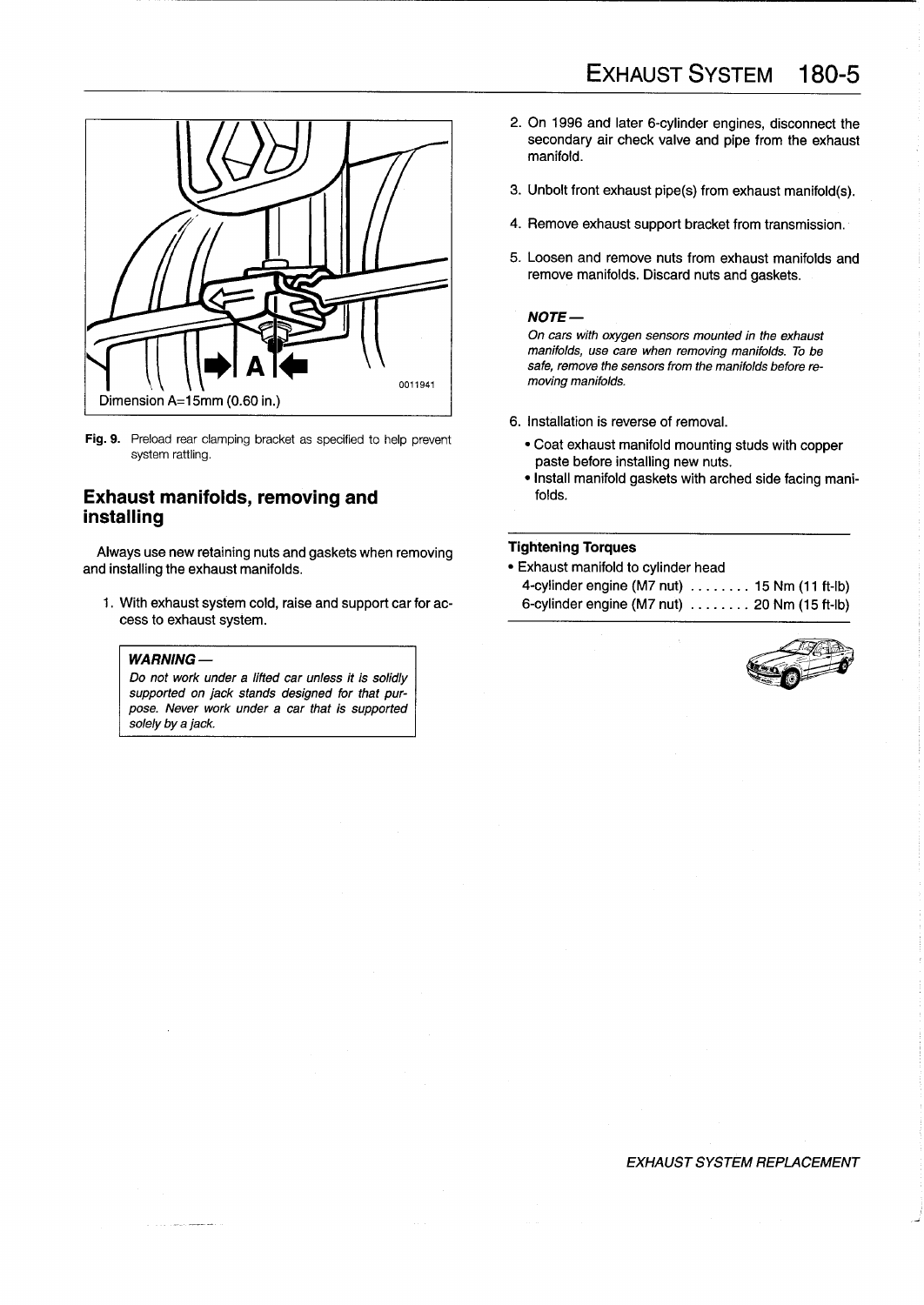

Fig. 9. Preload rear clamping bracket as specified to help prevent system rattling.

## Exhaust manifolds, removing and installing

Always use new retaining nuts and gaskets when removing **Tightening Torques**<br>
a installing the exhaust manifolds.<br> **a** Exhaust manifold to cylinder head and installing the exhaust manifolds.

cess to exhaust system.

## $W$ ARNING  $-$

Do not work under a lifted car unless it is solidly supported on jack stands designed for that purpose. Never work under a car that is supported solely by a jack.

- 2. On 1996 and later 6-cylinder engines, disconnect the secondary air check valve and pipe from the exhaust manifold.
- 3. Unbolt front exhaust pipe(s) from exhaust manifold(s).
- 4. Remove exhaust support bracket from transmission .
- 5. Loosen and remove nuts from exhaust manifolds and remove manifolds. Discard nuts and gaskets.

### NOTE-

On cars wíth oxygen sensors mounted in the exhaust manifolds, use care when removing manifolds. To be safe, remove the sensors from the manifolds before removing manifolds.

- 6. Installation is reverse of removal.
	- " Coat exhaust manifold mounting studs with copper paste before installing new nuts.
	- . Install manifold gaskets with arched side facing manifolds.

4-cylinder engine (M7 nut) . . . . . . . . <sup>15</sup> Nm (11 ft-Ib) 1. With exhaust system cold, raise and support car for ac- 6-cylinder engine (M7 nut) . . . . . . . . 20 Nm (15 ft-Ib)